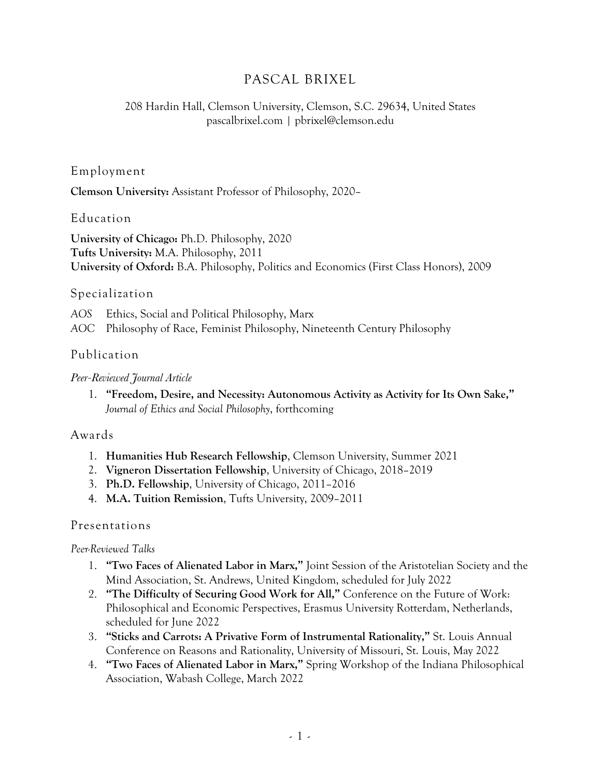# PASCAL BRIXEL

### 208 Hardin Hall, Clemson University, Clemson, S.C. 29634, United States pascalbrixel.com | pbrixel@clemson.edu

#### Employment

**Clemson University:** Assistant Professor of Philosophy, 2020–

#### Education

**University of Chicago:** Ph.D. Philosophy, 2020 **Tufts University:** M.A. Philosophy, 2011 **University of Oxford:** B.A. Philosophy, Politics and Economics (First Class Honors), 2009

#### Specialization

*AOS* Ethics, Social and Political Philosophy, Marx *AOC* Philosophy of Race, Feminist Philosophy, Nineteenth Century Philosophy

### Publication

#### *Peer-Reviewed Journal Article*

1. **"Freedom, Desire, and Necessity: Autonomous Activity as Activity for Its Own Sake,"** *Journal of Ethics and Social Philosophy*, forthcoming

#### Awards

- 1. **Humanities Hub Research Fellowship**, Clemson University, Summer 2021
- 2. **Vigneron Dissertation Fellowship**, University of Chicago, 2018–2019
- 3. **Ph.D. Fellowship**, University of Chicago, 2011–2016
- 4. **M.A. Tuition Remission**, Tufts University, 2009–2011

### Presentations

#### *Peer-Reviewed Talks*

- 1. **"Two Faces of Alienated Labor in Marx,"** Joint Session of the Aristotelian Society and the Mind Association, St. Andrews, United Kingdom, scheduled for July 2022
- 2. **"The Difficulty of Securing Good Work for All,"** Conference on the Future of Work: Philosophical and Economic Perspectives, Erasmus University Rotterdam, Netherlands, scheduled for June 2022
- 3. **"Sticks and Carrots: A Privative Form of Instrumental Rationality,"** St. Louis Annual Conference on Reasons and Rationality, University of Missouri, St. Louis, May 2022
- 4. **"Two Faces of Alienated Labor in Marx,"** Spring Workshop of the Indiana Philosophical Association, Wabash College, March 2022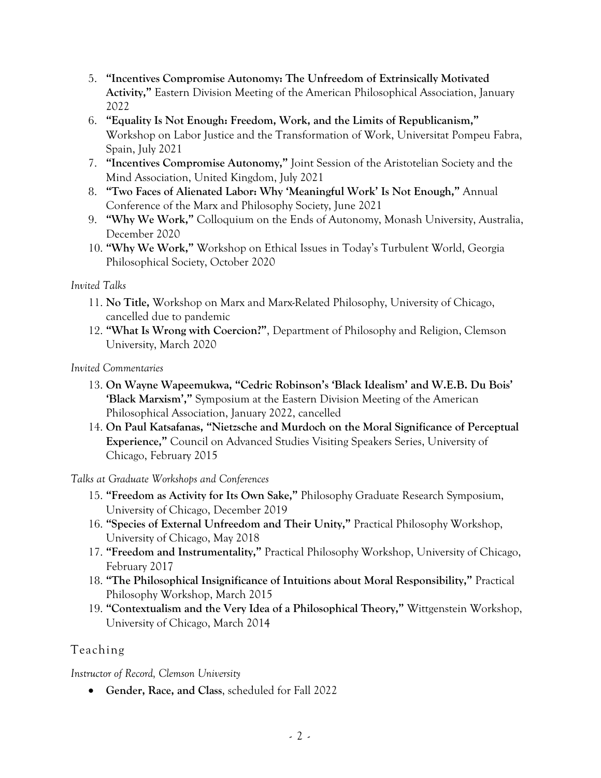- 5. **"Incentives Compromise Autonomy: The Unfreedom of Extrinsically Motivated Activity,"** Eastern Division Meeting of the American Philosophical Association, January 2022
- 6. **"Equality Is Not Enough: Freedom, Work, and the Limits of Republicanism,"**  Workshop on Labor Justice and the Transformation of Work, Universitat Pompeu Fabra, Spain, July 2021
- 7. **"Incentives Compromise Autonomy,"** Joint Session of the Aristotelian Society and the Mind Association, United Kingdom, July 2021
- 8. **"Two Faces of Alienated Labor: Why 'Meaningful Work' Is Not Enough,"** Annual Conference of the Marx and Philosophy Society, June 2021
- 9. **"Why We Work,"** Colloquium on the Ends of Autonomy, Monash University, Australia, December 2020
- 10. **"Why We Work,"** Workshop on Ethical Issues in Today's Turbulent World, Georgia Philosophical Society, October 2020

#### *Invited Talks*

- 11. **No Title,** Workshop on Marx and Marx-Related Philosophy, University of Chicago, cancelled due to pandemic
- 12. **"What Is Wrong with Coercion?"**, Department of Philosophy and Religion, Clemson University, March 2020

*Invited Commentaries*

- 13. **On Wayne Wapeemukwa, "Cedric Robinson's 'Black Idealism' and W.E.B. Du Bois' 'Black Marxism',"** Symposium at the Eastern Division Meeting of the American Philosophical Association, January 2022, cancelled
- 14. **On Paul Katsafanas, "Nietzsche and Murdoch on the Moral Significance of Perceptual Experience,"** Council on Advanced Studies Visiting Speakers Series, University of Chicago, February 2015

### *Talks at Graduate Workshops and Conferences*

- 15. **"Freedom as Activity for Its Own Sake,"** Philosophy Graduate Research Symposium, University of Chicago, December 2019
- 16. **"Species of External Unfreedom and Their Unity,"** Practical Philosophy Workshop, University of Chicago, May 2018
- 17. **"Freedom and Instrumentality,"** Practical Philosophy Workshop, University of Chicago, February 2017
- 18. **"The Philosophical Insignificance of Intuitions about Moral Responsibility,"** Practical Philosophy Workshop, March 2015
- 19. **"Contextualism and the Very Idea of a Philosophical Theory,"** Wittgenstein Workshop, University of Chicago, March 2014

## Teaching

### *Instructor of Record, Clemson University*

• **Gender, Race, and Class**, scheduled for Fall 2022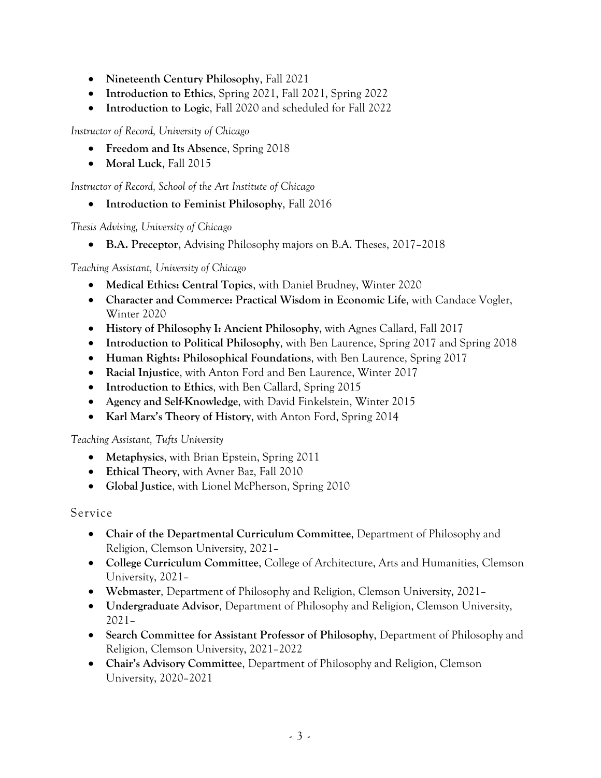- **Nineteenth Century Philosophy**, Fall 2021
- **Introduction to Ethics**, Spring 2021, Fall 2021, Spring 2022
- **Introduction to Logic**, Fall 2020 and scheduled for Fall 2022

*Instructor of Record, University of Chicago*

- **Freedom and Its Absence**, Spring 2018
- **Moral Luck**, Fall 2015

*Instructor of Record, School of the Art Institute of Chicago*

• **Introduction to Feminist Philosophy**, Fall 2016

*Thesis Advising, University of Chicago*

• **B.A. Preceptor**, Advising Philosophy majors on B.A. Theses, 2017–2018

#### *Teaching Assistant, University of Chicago*

- **Medical Ethics: Central Topics**, with Daniel Brudney, Winter 2020
- **Character and Commerce: Practical Wisdom in Economic Life**, with Candace Vogler, Winter 2020
- **History of Philosophy I: Ancient Philosophy**, with Agnes Callard, Fall 2017
- **Introduction to Political Philosophy**, with Ben Laurence, Spring 2017 and Spring 2018
- **Human Rights: Philosophical Foundations**, with Ben Laurence, Spring 2017
- **Racial Injustice**, with Anton Ford and Ben Laurence, Winter 2017
- **Introduction to Ethics**, with Ben Callard, Spring 2015
- **Agency and Self-Knowledge**, with David Finkelstein, Winter 2015
- **Karl Marx's Theory of History**, with Anton Ford, Spring 2014

#### *Teaching Assistant, Tufts University*

- **Metaphysics**, with Brian Epstein, Spring 2011
- **Ethical Theory**, with Avner Baz, Fall 2010
- **Global Justice**, with Lionel McPherson, Spring 2010

#### Service

- **Chair of the Departmental Curriculum Committee**, Department of Philosophy and Religion, Clemson University, 2021–
- **College Curriculum Committee**, College of Architecture, Arts and Humanities, Clemson University, 2021–
- **Webmaster**, Department of Philosophy and Religion, Clemson University, 2021–
- **Undergraduate Advisor**, Department of Philosophy and Religion, Clemson University, 2021–
- **Search Committee for Assistant Professor of Philosophy**, Department of Philosophy and Religion, Clemson University, 2021–2022
- **Chair's Advisory Committee**, Department of Philosophy and Religion, Clemson University, 2020–2021